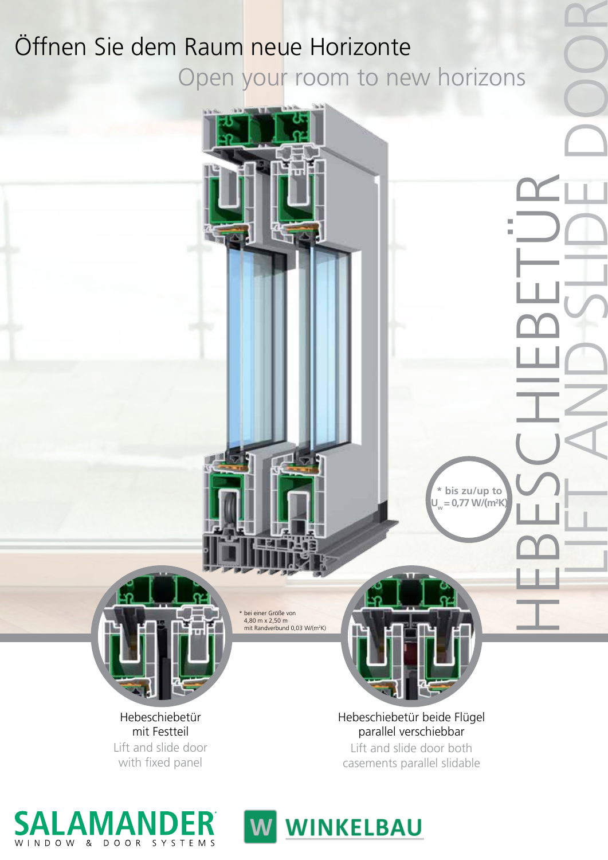# Öffnen Sie dem Raum neue Horizonte Open your room to new horizons



Hebeschiebetür mit Festteil Lift and slide door with fixed panel

WINDOW & DOOR SYSTEMS

Hebeschiebetür beide Flügel parallel verschiebbar Lift and slide door both casements parallel slidable

HEBESCHIEBETÜR

**\* bis zu/up to Uw = 0,77 W/(m2 K)** LIFT AND SLIDE DOOR